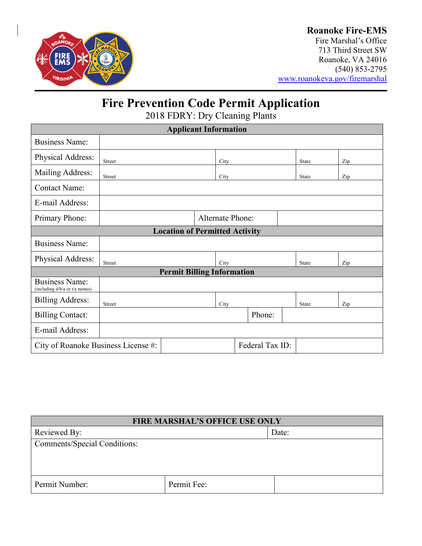

### **Roanoke Fire-EMS**

Fire Marshal's Office 713 Third Street SW Roanoke, VA 24016 (540) 853-2795 [www.roanokeva.gov/firemarshal](http://www.roanokeva.gov/firemarshal)

# **Fire Prevention Code Permit Application**

2018 FDRY: Dry Cleaning Plants

| <b>Applicant Information</b>                            |                         |  |      |        |  |  |              |     |
|---------------------------------------------------------|-------------------------|--|------|--------|--|--|--------------|-----|
| <b>Business Name:</b>                                   |                         |  |      |        |  |  |              |     |
| Physical Address:                                       | <b>Street</b>           |  | City |        |  |  | <b>State</b> | Zip |
| Mailing Address:                                        | <b>Street</b>           |  | City |        |  |  | <b>State</b> | Zip |
| <b>Contact Name:</b>                                    |                         |  |      |        |  |  |              |     |
| E-mail Address:                                         |                         |  |      |        |  |  |              |     |
| Primary Phone:                                          | <b>Alternate Phone:</b> |  |      |        |  |  |              |     |
| <b>Location of Permitted Activity</b>                   |                         |  |      |        |  |  |              |     |
| <b>Business Name:</b>                                   |                         |  |      |        |  |  |              |     |
| Physical Address:                                       | Street                  |  | City |        |  |  | State        | Zip |
| <b>Permit Billing Information</b>                       |                         |  |      |        |  |  |              |     |
| <b>Business Name:</b><br>(including d/b/a or t/a names) |                         |  |      |        |  |  |              |     |
| <b>Billing Address:</b>                                 | <b>Street</b>           |  | City |        |  |  | State        | Zip |
| <b>Billing Contact:</b>                                 |                         |  |      | Phone: |  |  |              |     |
| E-mail Address:                                         |                         |  |      |        |  |  |              |     |
| Federal Tax ID:<br>City of Roanoke Business License #:  |                         |  |      |        |  |  |              |     |

| <b>FIRE MARSHAL'S OFFICE USE ONLY</b> |             |       |
|---------------------------------------|-------------|-------|
| Reviewed By:                          |             | Date: |
| <b>Comments/Special Conditions:</b>   |             |       |
|                                       |             |       |
|                                       |             |       |
| Permit Number:                        | Permit Fee: |       |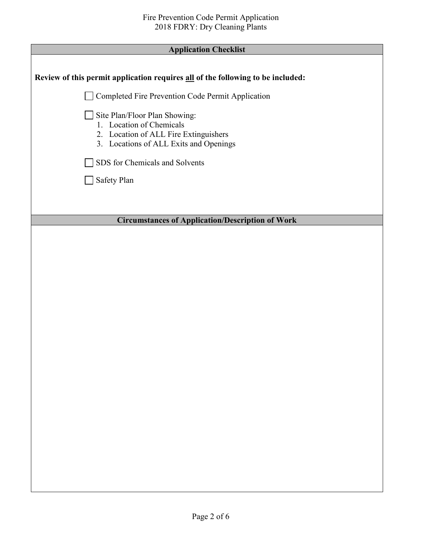| <b>Application Checklist</b>                                                                                                                 |  |
|----------------------------------------------------------------------------------------------------------------------------------------------|--|
|                                                                                                                                              |  |
| Review of this permit application requires all of the following to be included:                                                              |  |
| □ Completed Fire Prevention Code Permit Application                                                                                          |  |
| Site Plan/Floor Plan Showing:<br>1. Location of Chemicals<br>2. Location of ALL Fire Extinguishers<br>3. Locations of ALL Exits and Openings |  |
| SDS for Chemicals and Solvents                                                                                                               |  |
| Safety Plan                                                                                                                                  |  |
|                                                                                                                                              |  |
|                                                                                                                                              |  |
| <b>Circumstances of Application/Description of Work</b>                                                                                      |  |
|                                                                                                                                              |  |
|                                                                                                                                              |  |
|                                                                                                                                              |  |
|                                                                                                                                              |  |
|                                                                                                                                              |  |
|                                                                                                                                              |  |
|                                                                                                                                              |  |
|                                                                                                                                              |  |
|                                                                                                                                              |  |
|                                                                                                                                              |  |
|                                                                                                                                              |  |
|                                                                                                                                              |  |
|                                                                                                                                              |  |
|                                                                                                                                              |  |
|                                                                                                                                              |  |
|                                                                                                                                              |  |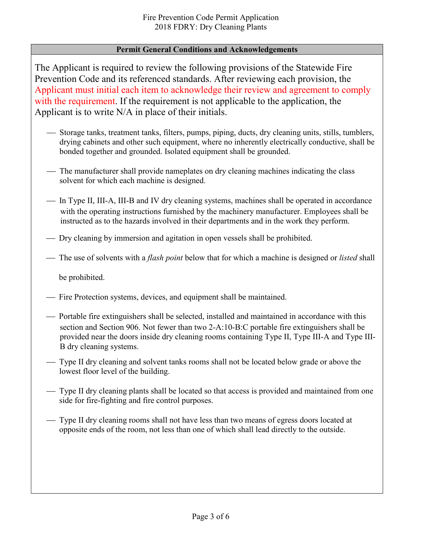### **Permit General Conditions and Acknowledgements**

The Applicant is required to review the following provisions of the Statewide Fire Prevention Code and its referenced standards. After reviewing each provision, the Applicant must initial each item to acknowledge their review and agreement to comply with the requirement. If the requirement is not applicable to the application, the Applicant is to write N/A in place of their initials.

- Storage tanks, treatment tanks, filters, pumps, piping, ducts, dry cleaning units, stills, tumblers, drying cabinets and other such equipment, where no inherently electrically conductive, shall be bonded together and grounded. Isolated equipment shall be grounded.
- The manufacturer shall provide nameplates on dry cleaning machines indicating the class solvent for which each machine is designed.
- In Type II, III-A, III-B and IV dry cleaning systems, machines shall be operated in accordance with the operating instructions furnished by the machinery manufacturer. Employees shall be instructed as to the hazards involved in their departments and in the work they perform.
- Dry cleaning by immersion and agitation in open vessels shall be prohibited.
- The use of solvents with a *flash point* below that for which a machine is designed or *listed* shall

be prohibited.

- Fire Protection systems, devices, and equipment shall be maintained.
- Portable fire extinguishers shall be selected, installed and maintained in accordance with this section and Section 906. Not fewer than two 2-A:10-B:C portable fire extinguishers shall be provided near the doors inside dry cleaning rooms containing Type II, Type III-A and Type III-B dry cleaning systems.
- Type II dry cleaning and solvent tanks rooms shall not be located below grade or above the lowest floor level of the building.
- Type II dry cleaning plants shall be located so that access is provided and maintained from one side for fire-fighting and fire control purposes.
- Type II dry cleaning rooms shall not have less than two means of egress doors located at opposite ends of the room, not less than one of which shall lead directly to the outside.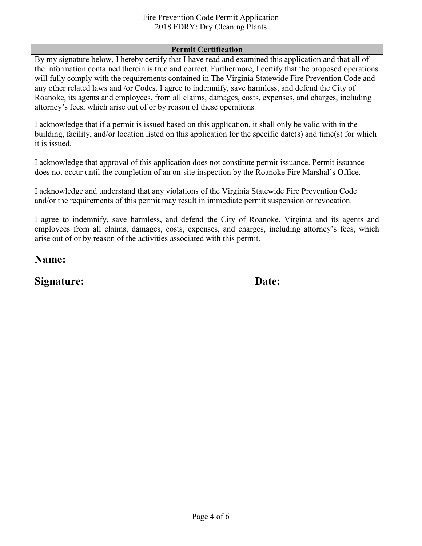#### Fire Prevention Code Permit Application 2018 FDRY: Dry Cleaning Plants

#### **Permit Certification**

By my signature below, I hereby certify that I have read and examined this application and that all of the information contained therein is true and correct. Furthermore, I certify that the proposed operations will fully comply with the requirements contained in The Virginia Statewide Fire Prevention Code and any other related laws and /or Codes. I agree to indemnify, save harmless, and defend the City of Roanoke, its agents and employees, from all claims, damages, costs, expenses, and charges, including attorney's fees, which arise out of or by reason of these operations.

I acknowledge that if a permit is issued based on this application, it shall only be valid with in the building, facility, and/or location listed on this application for the specific date(s) and time(s) for which it is issued.

I acknowledge that approval of this application does not constitute permit issuance. Permit issuance does not occur until the completion of an on-site inspection by the Roanoke Fire Marshal's Office.

I acknowledge and understand that any violations of the Virginia Statewide Fire Prevention Code and/or the requirements of this permit may result in immediate permit suspension or revocation.

I agree to indemnify, save harmless, and defend the City of Roanoke, Virginia and its agents and employees from all claims, damages, costs, expenses, and charges, including attorney's fees, which arise out of or by reason of the activities associated with this permit.

| Name:             |       |  |
|-------------------|-------|--|
| <b>Signature:</b> | Date: |  |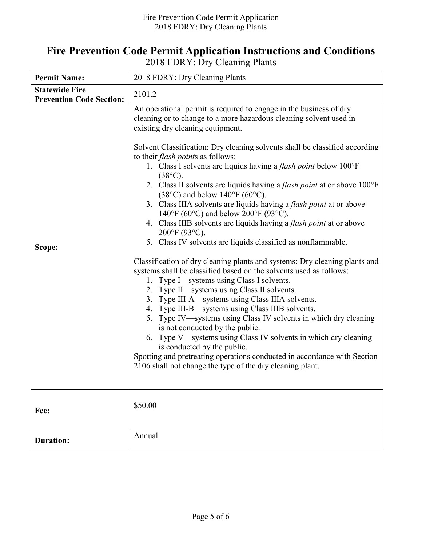## **Fire Prevention Code Permit Application Instructions and Conditions**

2018 FDRY: Dry Cleaning Plants

| <b>Permit Name:</b>                                      | 2018 FDRY: Dry Cleaning Plants                                                                                                                                                                                                                                                                                                                                                                                                                                                                                                                                                                                                                                                                                                                                                                                                                                                                                                                                                                                                                                                                                                                                                                                                                                                                                                                                                                                                                                                                                                       |
|----------------------------------------------------------|--------------------------------------------------------------------------------------------------------------------------------------------------------------------------------------------------------------------------------------------------------------------------------------------------------------------------------------------------------------------------------------------------------------------------------------------------------------------------------------------------------------------------------------------------------------------------------------------------------------------------------------------------------------------------------------------------------------------------------------------------------------------------------------------------------------------------------------------------------------------------------------------------------------------------------------------------------------------------------------------------------------------------------------------------------------------------------------------------------------------------------------------------------------------------------------------------------------------------------------------------------------------------------------------------------------------------------------------------------------------------------------------------------------------------------------------------------------------------------------------------------------------------------------|
| <b>Statewide Fire</b><br><b>Prevention Code Section:</b> | 2101.2                                                                                                                                                                                                                                                                                                                                                                                                                                                                                                                                                                                                                                                                                                                                                                                                                                                                                                                                                                                                                                                                                                                                                                                                                                                                                                                                                                                                                                                                                                                               |
| Scope:                                                   | An operational permit is required to engage in the business of dry<br>cleaning or to change to a more hazardous cleaning solvent used in<br>existing dry cleaning equipment.<br>Solvent Classification: Dry cleaning solvents shall be classified according<br>to their <i>flash points</i> as follows:<br>1. Class I solvents are liquids having a <i>flash point</i> below 100°F<br>$(38^{\circ}C).$<br>2. Class II solvents are liquids having a flash point at or above 100°F<br>$(38^{\circ}C)$ and below $140^{\circ}F(60^{\circ}C)$ .<br>3. Class IIIA solvents are liquids having a <i>flash point</i> at or above<br>140°F (60°C) and below 200°F (93°C).<br>4. Class IIIB solvents are liquids having a flash point at or above<br>200°F (93°C).<br>5. Class IV solvents are liquids classified as nonflammable.<br>Classification of dry cleaning plants and systems: Dry cleaning plants and<br>systems shall be classified based on the solvents used as follows:<br>1. Type I—systems using Class I solvents.<br>2. Type II—systems using Class II solvents.<br>3. Type III-A—systems using Class IIIA solvents.<br>4. Type III-B—systems using Class IIIB solvents.<br>5. Type IV-systems using Class IV solvents in which dry cleaning<br>is not conducted by the public.<br>6. Type V—systems using Class IV solvents in which dry cleaning<br>is conducted by the public.<br>Spotting and pretreating operations conducted in accordance with Section<br>2106 shall not change the type of the dry cleaning plant. |
| Fee:                                                     | \$50.00                                                                                                                                                                                                                                                                                                                                                                                                                                                                                                                                                                                                                                                                                                                                                                                                                                                                                                                                                                                                                                                                                                                                                                                                                                                                                                                                                                                                                                                                                                                              |
| <b>Duration:</b>                                         | Annual                                                                                                                                                                                                                                                                                                                                                                                                                                                                                                                                                                                                                                                                                                                                                                                                                                                                                                                                                                                                                                                                                                                                                                                                                                                                                                                                                                                                                                                                                                                               |